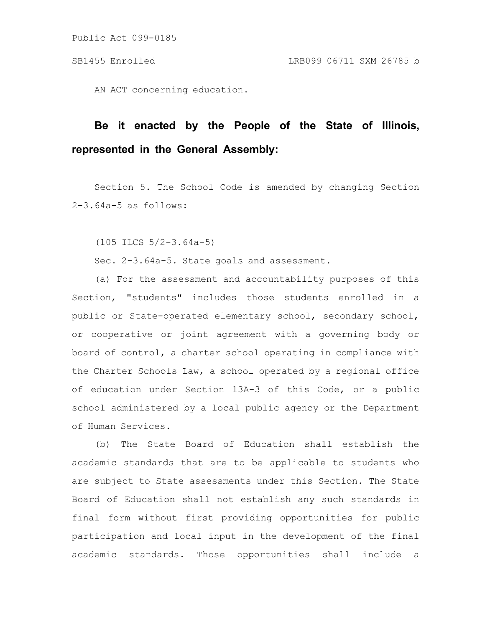Public Act 099-0185

AN ACT concerning education.

# **Be it enacted by the People of the State of Illinois, represented in the General Assembly:**

Section 5. The School Code is amended by changing Section 2-3.64a-5 as follows:

(105 ILCS 5/2-3.64a-5)

Sec. 2-3.64a-5. State goals and assessment.

(a) For the assessment and accountability purposes of this Section, "students" includes those students enrolled in a public or State-operated elementary school, secondary school, or cooperative or joint agreement with a governing body or board of control, a charter school operating in compliance with the Charter Schools Law, a school operated by a regional office of education under Section 13A-3 of this Code, or a public school administered by a local public agency or the Department of Human Services.

(b) The State Board of Education shall establish the academic standards that are to be applicable to students who are subject to State assessments under this Section. The State Board of Education shall not establish any such standards in final form without first providing opportunities for public participation and local input in the development of the final academic standards. Those opportunities shall include a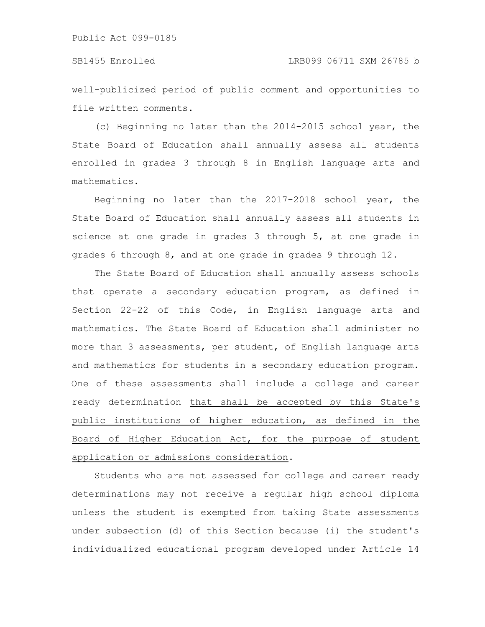well-publicized period of public comment and opportunities to file written comments.

(c) Beginning no later than the 2014-2015 school year, the State Board of Education shall annually assess all students enrolled in grades 3 through 8 in English language arts and mathematics.

Beginning no later than the 2017-2018 school year, the State Board of Education shall annually assess all students in science at one grade in grades 3 through 5, at one grade in grades 6 through 8, and at one grade in grades 9 through 12.

The State Board of Education shall annually assess schools that operate a secondary education program, as defined in Section 22-22 of this Code, in English language arts and mathematics. The State Board of Education shall administer no more than 3 assessments, per student, of English language arts and mathematics for students in a secondary education program. One of these assessments shall include a college and career ready determination that shall be accepted by this State's public institutions of higher education, as defined in the Board of Higher Education Act, for the purpose of student application or admissions consideration.

Students who are not assessed for college and career ready determinations may not receive a regular high school diploma unless the student is exempted from taking State assessments under subsection (d) of this Section because (i) the student's individualized educational program developed under Article 14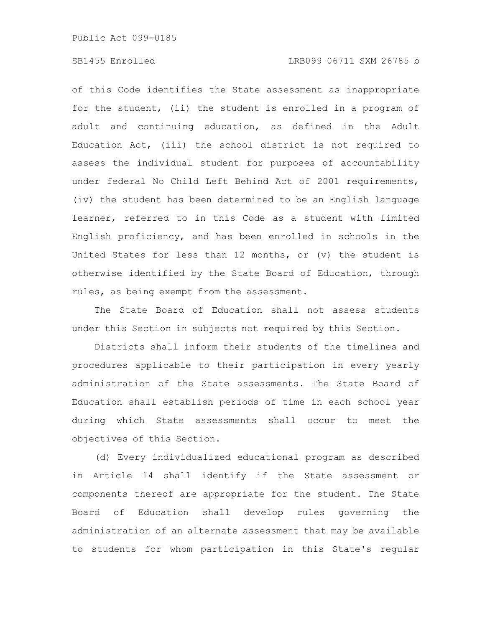## SB1455 Enrolled LRB099 06711 SXM 26785 b

of this Code identifies the State assessment as inappropriate for the student, (ii) the student is enrolled in a program of adult and continuing education, as defined in the Adult Education Act, (iii) the school district is not required to assess the individual student for purposes of accountability under federal No Child Left Behind Act of 2001 requirements, (iv) the student has been determined to be an English language learner, referred to in this Code as a student with limited English proficiency, and has been enrolled in schools in the United States for less than 12 months, or (v) the student is otherwise identified by the State Board of Education, through rules, as being exempt from the assessment.

The State Board of Education shall not assess students under this Section in subjects not required by this Section.

Districts shall inform their students of the timelines and procedures applicable to their participation in every yearly administration of the State assessments. The State Board of Education shall establish periods of time in each school year during which State assessments shall occur to meet the objectives of this Section.

(d) Every individualized educational program as described in Article 14 shall identify if the State assessment or components thereof are appropriate for the student. The State Board of Education shall develop rules governing the administration of an alternate assessment that may be available to students for whom participation in this State's regular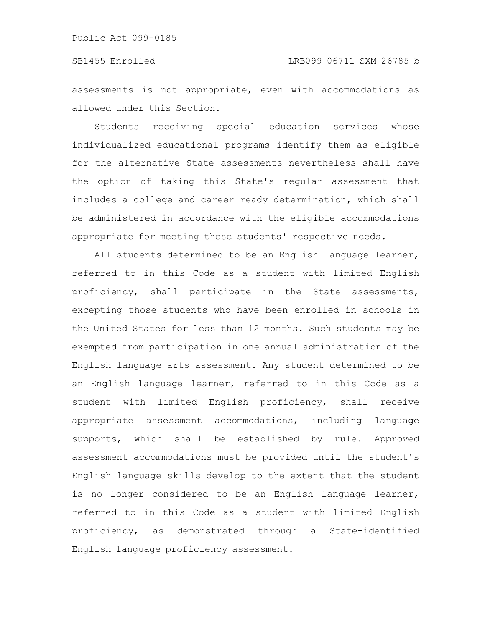assessments is not appropriate, even with accommodations as allowed under this Section.

Students receiving special education services whose individualized educational programs identify them as eligible for the alternative State assessments nevertheless shall have the option of taking this State's regular assessment that includes a college and career ready determination, which shall be administered in accordance with the eligible accommodations appropriate for meeting these students' respective needs.

All students determined to be an English language learner, referred to in this Code as a student with limited English proficiency, shall participate in the State assessments, excepting those students who have been enrolled in schools in the United States for less than 12 months. Such students may be exempted from participation in one annual administration of the English language arts assessment. Any student determined to be an English language learner, referred to in this Code as a student with limited English proficiency, shall receive appropriate assessment accommodations, including language supports, which shall be established by rule. Approved assessment accommodations must be provided until the student's English language skills develop to the extent that the student is no longer considered to be an English language learner, referred to in this Code as a student with limited English proficiency, as demonstrated through a State-identified English language proficiency assessment.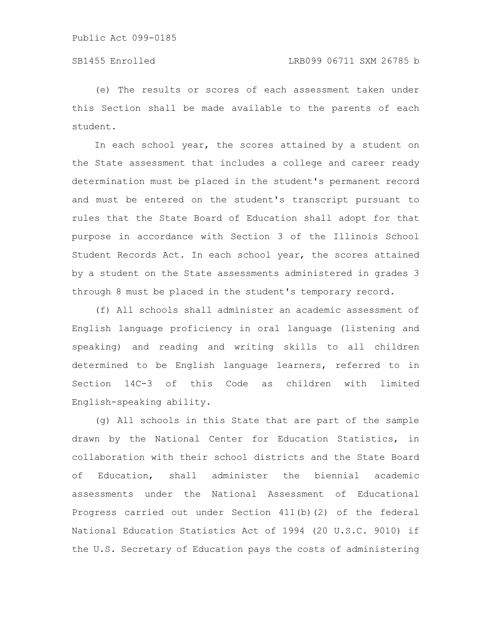(e) The results or scores of each assessment taken under this Section shall be made available to the parents of each student.

In each school year, the scores attained by a student on the State assessment that includes a college and career ready determination must be placed in the student's permanent record and must be entered on the student's transcript pursuant to rules that the State Board of Education shall adopt for that purpose in accordance with Section 3 of the Illinois School Student Records Act. In each school year, the scores attained by a student on the State assessments administered in grades 3 through 8 must be placed in the student's temporary record.

(f) All schools shall administer an academic assessment of English language proficiency in oral language (listening and speaking) and reading and writing skills to all children determined to be English language learners, referred to in Section 14C-3 of this Code as children with limited English-speaking ability.

(g) All schools in this State that are part of the sample drawn by the National Center for Education Statistics, in collaboration with their school districts and the State Board of Education, shall administer the biennial academic assessments under the National Assessment of Educational Progress carried out under Section 411(b)(2) of the federal National Education Statistics Act of 1994 (20 U.S.C. 9010) if the U.S. Secretary of Education pays the costs of administering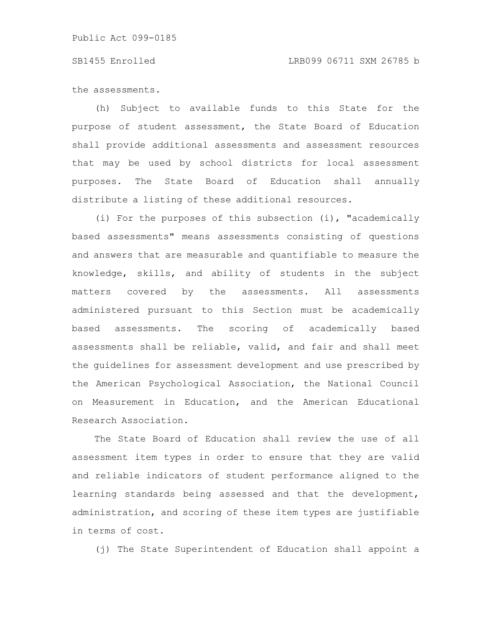### SB1455 Enrolled LRB099 06711 SXM 26785 b

the assessments.

(h) Subject to available funds to this State for the purpose of student assessment, the State Board of Education shall provide additional assessments and assessment resources that may be used by school districts for local assessment purposes. The State Board of Education shall annually distribute a listing of these additional resources.

(i) For the purposes of this subsection (i), "academically based assessments" means assessments consisting of questions and answers that are measurable and quantifiable to measure the knowledge, skills, and ability of students in the subject matters covered by the assessments. All assessments administered pursuant to this Section must be academically based assessments. The scoring of academically based assessments shall be reliable, valid, and fair and shall meet the guidelines for assessment development and use prescribed by the American Psychological Association, the National Council on Measurement in Education, and the American Educational Research Association.

The State Board of Education shall review the use of all assessment item types in order to ensure that they are valid and reliable indicators of student performance aligned to the learning standards being assessed and that the development, administration, and scoring of these item types are justifiable in terms of cost.

(j) The State Superintendent of Education shall appoint a